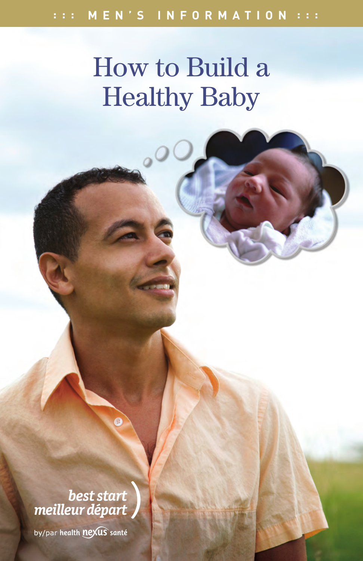# How to Build a Healthy Baby

best start meilleur départ

by/par health nexus santé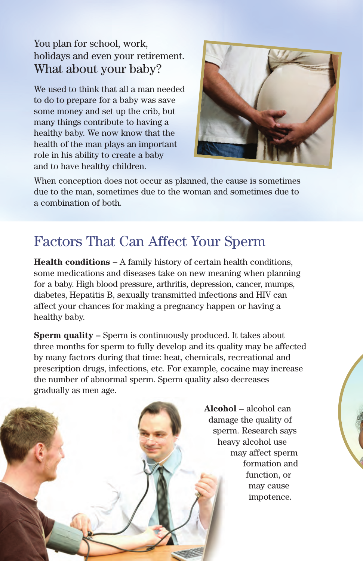#### You plan for school, work, holidays and even your retirement. What about your baby?

We used to think that all a man needed to do to prepare for a baby was save some money and set up the crib, but many things contribute to having a healthy baby. We now know that the health of the man plays an important role in his ability to create a baby and to have healthy children.



When conception does not occur as planned, the cause is sometimes due to the man, sometimes due to the woman and sometimes due to a combination of both.

### Factors That Can Affect Your Sperm

**Health conditions –** A family history of certain health conditions, some medications and diseases take on new meaning when planning for a baby. High blood pressure, arthritis, depression, cancer, mumps, diabetes, Hepatitis B, sexually transmitted infections and HIV can affect your chances for making a pregnancy happen or having a healthy baby.

**Sperm quality –** Sperm is continuously produced. It takes about three months for sperm to fully develop and its quality may be affected by many factors during that time: heat, chemicals, recreational and prescription drugs, infections, etc. For example, cocaine may increase the number of abnormal sperm. Sperm quality also decreases gradually as men age.

> **Alcohol –** alcohol can damage the quality of sperm. Research says heavy alcohol use may affect sperm formation and function, or may cause impotence.

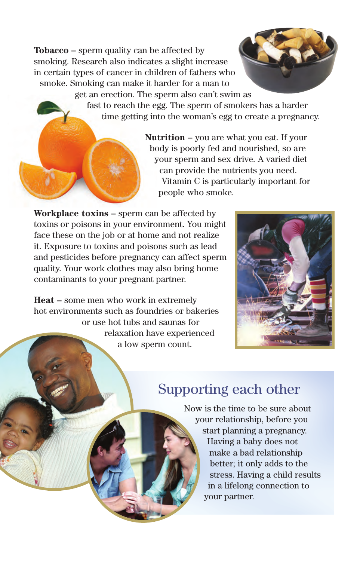**Tobacco –** sperm quality can be affected by smoking. Research also indicates a slight increase in certain types of cancer in children of fathers who smoke. Smoking can make it harder for a man to



fast to reach the egg. The sperm of smokers has a harder time getting into the woman's egg to create a pregnancy.

> **Nutrition –** you are what you eat. If your body is poorly fed and nourished, so are your sperm and sex drive. A varied diet can provide the nutrients you need. Vitamin C is particularly important for people who smoke.

**Workplace toxins –** sperm can be affected by toxins or poisons in your environment. You might face these on the job or at home and not realize it. Exposure to toxins and poisons such as lead and pesticides before pregnancy can affect sperm quality. Your work clothes may also bring home contaminants to your pregnant partner.

**Heat –** some men who work in extremely hot environments such as foundries or bakeries or use hot tubs and saunas for relaxation have experienced a low sperm count.



### Supporting each other

Now is the time to be sure about your relationship, before you start planning a pregnancy. Having a baby does not make a bad relationship better; it only adds to the stress. Having a child results in a lifelong connection to your partner.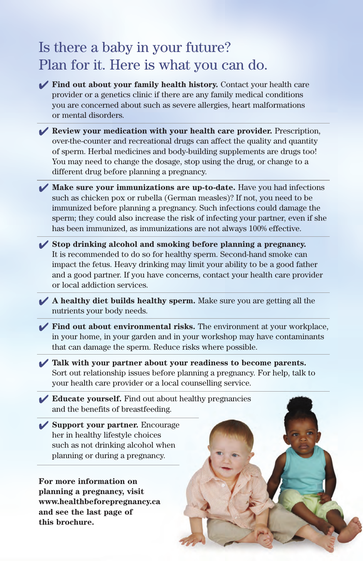### Is there a baby in your future? Plan for it. Here is what you can do.

- 4 **Find out about your family health history.** Contact your health care provider or a genetics clinic if there are any family medical conditions you are concerned about such as severe allergies, heart malformations or mental disorders.
- 4 **Review your medication with your health care provider.** Prescription, over-the-counter and recreational drugs can affect the quality and quantity of sperm. Herbal medicines and body-building supplements are drugs too! You may need to change the dosage, stop using the drug, or change to a different drug before planning a pregnancy.
- 4 **Make sure your immunizations are up-to-date.** Have you had infections such as chicken pox or rubella (German measles)? If not, you need to be immunized before planning a pregnancy. Such infections could damage the sperm; they could also increase the risk of infecting your partner, even if she has been immunized, as immunizations are not always 100% effective.
- 4 **Stop drinking alcohol and smoking before planning a pregnancy.**  It is recommended to do so for healthy sperm. Second-hand smoke can impact the fetus. Heavy drinking may limit your ability to be a good father and a good partner. If you have concerns, contact your health care provider or local addiction services.
- 4 **A healthy diet builds healthy sperm.** Make sure you are getting all the nutrients your body needs.
- 4 **Find out about environmental risks.** The environment at your workplace, in your home, in your garden and in your workshop may have contaminants that can damage the sperm. Reduce risks where possible.
- 4 **Talk with your partner about your readiness to become parents.**  Sort out relationship issues before planning a pregnancy. For help, talk to your health care provider or a local counselling service.
- 4 **Educate yourself.** Find out about healthy pregnancies and the benefits of breastfeeding.
- 4 **Support your partner.** Encourage her in healthy lifestyle choices such as not drinking alcohol when planning or during a pregnancy.

**For more information on planning a pregnancy, visit www.healthbeforepregnancy.ca and see the last page of this brochure.**

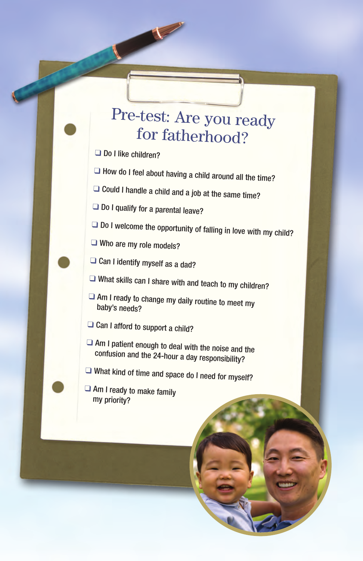## Pre-test: Are you ready for fatherhood?

Do I like children?

 $\Box$  How do I feel about having a child around all the time?

 $\Box$  Could I handle a child and a job at the same time?

 $\Box$  Do I qualify for a parental leave?

- $\Box$  Do I welcome the opportunity of falling in love with my child?
- Who are my role models?

 $\Box$  Can I identify myself as a dad?

- $\Box$  What skills can I share with and teach to my children?
- $\Box$  Am I ready to change my daily routine to meet my baby's needs?
- $\Box$  Can I afford to support a child?
- $\Box$  Am I patient enough to deal with the noise and the confusion and the 24-hour a day responsibility?
- $\Box$  What kind of time and space do I need for myself?
- $\Box$  Am I ready to make family my priority?